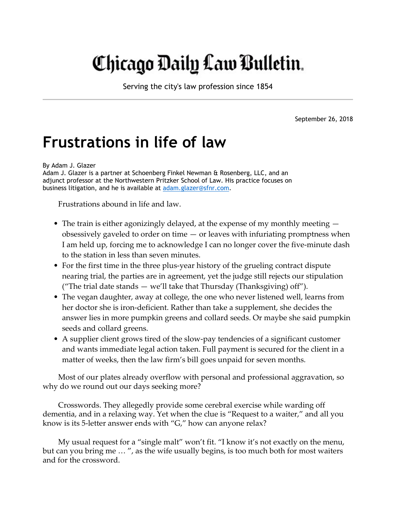## Chicago Daily Law Bulletin.

Serving the city's law profession since 1854

September 26, 2018

## Frustrations in life of law

By Adam J. Glazer

Adam J. Glazer is a partner at Schoenberg Finkel Newman & Rosenberg, LLC, and an adjunct professor at the Northwestern Pritzker School of Law. His practice focuses on business litigation, and he is available at adam.glazer@sfnr.com.

Frustrations abound in life and law.

- The train is either agonizingly delayed, at the expense of my monthly meeting  $$ obsessively gaveled to order on time — or leaves with infuriating promptness when I am held up, forcing me to acknowledge I can no longer cover the five-minute dash to the station in less than seven minutes.
- For the first time in the three plus-year history of the grueling contract dispute nearing trial, the parties are in agreement, yet the judge still rejects our stipulation ("The trial date stands — we'll take that Thursday (Thanksgiving) off").
- The vegan daughter, away at college, the one who never listened well, learns from her doctor she is iron-deficient. Rather than take a supplement, she decides the answer lies in more pumpkin greens and collard seeds. Or maybe she said pumpkin seeds and collard greens.
- A supplier client grows tired of the slow-pay tendencies of a significant customer and wants immediate legal action taken. Full payment is secured for the client in a matter of weeks, then the law firm's bill goes unpaid for seven months.

Most of our plates already overflow with personal and professional aggravation, so why do we round out our days seeking more?

Crosswords. They allegedly provide some cerebral exercise while warding off dementia, and in a relaxing way. Yet when the clue is "Request to a waiter," and all you know is its 5-letter answer ends with "G," how can anyone relax?

My usual request for a "single malt" won't fit. "I know it's not exactly on the menu, but can you bring me … ", as the wife usually begins, is too much both for most waiters and for the crossword.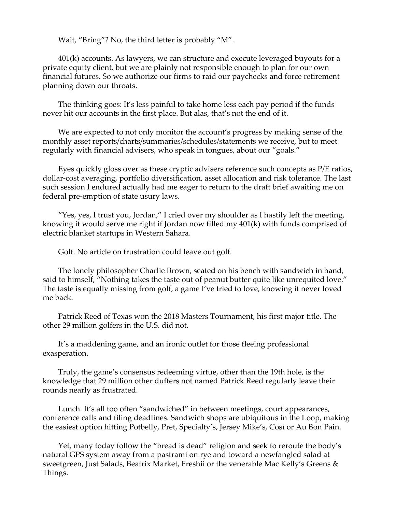Wait, "Bring"? No, the third letter is probably "M".

401(k) accounts. As lawyers, we can structure and execute leveraged buyouts for a private equity client, but we are plainly not responsible enough to plan for our own financial futures. So we authorize our firms to raid our paychecks and force retirement planning down our throats.

The thinking goes: It's less painful to take home less each pay period if the funds never hit our accounts in the first place. But alas, that's not the end of it.

We are expected to not only monitor the account's progress by making sense of the monthly asset reports/charts/summaries/schedules/statements we receive, but to meet regularly with financial advisers, who speak in tongues, about our "goals."

Eyes quickly gloss over as these cryptic advisers reference such concepts as P/E ratios, dollar-cost averaging, portfolio diversification, asset allocation and risk tolerance. The last such session I endured actually had me eager to return to the draft brief awaiting me on federal pre-emption of state usury laws.

"Yes, yes, I trust you, Jordan," I cried over my shoulder as I hastily left the meeting, knowing it would serve me right if Jordan now filled my 401(k) with funds comprised of electric blanket startups in Western Sahara.

Golf. No article on frustration could leave out golf.

The lonely philosopher Charlie Brown, seated on his bench with sandwich in hand, said to himself, "Nothing takes the taste out of peanut butter quite like unrequited love." The taste is equally missing from golf, a game I've tried to love, knowing it never loved me back.

Patrick Reed of Texas won the 2018 Masters Tournament, his first major title. The other 29 million golfers in the U.S. did not.

It's a maddening game, and an ironic outlet for those fleeing professional exasperation.

Truly, the game's consensus redeeming virtue, other than the 19th hole, is the knowledge that 29 million other duffers not named Patrick Reed regularly leave their rounds nearly as frustrated.

Lunch. It's all too often "sandwiched" in between meetings, court appearances, conference calls and filing deadlines. Sandwich shops are ubiquitous in the Loop, making the easiest option hitting Potbelly, Pret, Specialty's, Jersey Mike's, Cosί or Au Bon Pain.

Yet, many today follow the "bread is dead" religion and seek to reroute the body's natural GPS system away from a pastrami on rye and toward a newfangled salad at sweetgreen, Just Salads, Beatrix Market, Freshii or the venerable Mac Kelly's Greens & Things.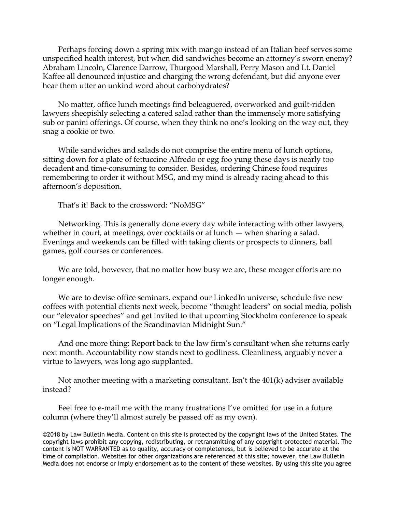Perhaps forcing down a spring mix with mango instead of an Italian beef serves some unspecified health interest, but when did sandwiches become an attorney's sworn enemy? Abraham Lincoln, Clarence Darrow, Thurgood Marshall, Perry Mason and Lt. Daniel Kaffee all denounced injustice and charging the wrong defendant, but did anyone ever hear them utter an unkind word about carbohydrates?

No matter, office lunch meetings find beleaguered, overworked and guilt-ridden lawyers sheepishly selecting a catered salad rather than the immensely more satisfying sub or panini offerings. Of course, when they think no one's looking on the way out, they snag a cookie or two.

While sandwiches and salads do not comprise the entire menu of lunch options, sitting down for a plate of fettuccine Alfredo or egg foo yung these days is nearly too decadent and time-consuming to consider. Besides, ordering Chinese food requires remembering to order it without MSG, and my mind is already racing ahead to this afternoon's deposition.

That's it! Back to the crossword: "NoMSG"

Networking. This is generally done every day while interacting with other lawyers, whether in court, at meetings, over cocktails or at lunch — when sharing a salad. Evenings and weekends can be filled with taking clients or prospects to dinners, ball games, golf courses or conferences.

We are told, however, that no matter how busy we are, these meager efforts are no longer enough.

We are to devise office seminars, expand our LinkedIn universe, schedule five new coffees with potential clients next week, become "thought leaders" on social media, polish our "elevator speeches" and get invited to that upcoming Stockholm conference to speak on "Legal Implications of the Scandinavian Midnight Sun."

And one more thing: Report back to the law firm's consultant when she returns early next month. Accountability now stands next to godliness. Cleanliness, arguably never a virtue to lawyers, was long ago supplanted.

Not another meeting with a marketing consultant. Isn't the 401(k) adviser available instead?

Feel free to e-mail me with the many frustrations I've omitted for use in a future column (where they'll almost surely be passed off as my own).

©2018 by Law Bulletin Media. Content on this site is protected by the copyright laws of the United States. The copyright laws prohibit any copying, redistributing, or retransmitting of any copyright-protected material. The content is NOT WARRANTED as to quality, accuracy or completeness, but is believed to be accurate at the time of compilation. Websites for other organizations are referenced at this site; however, the Law Bulletin Media does not endorse or imply endorsement as to the content of these websites. By using this site you agree